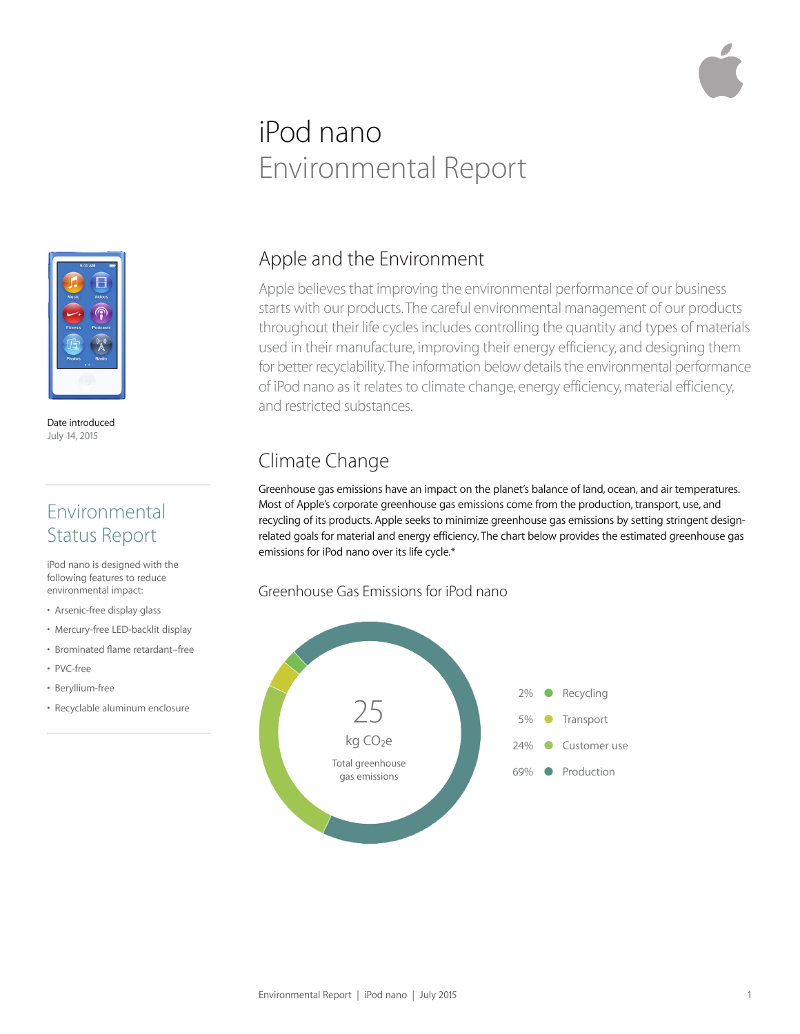# iPod nano Environmental Report



Date introduced July 14, 2015

### Environmental Status Report

iPod nano is designed with the following features to reduce environmental impact:

- Arsenic-free display glass
- Mercury-free LED-backlit display
- Brominated flame retardant–free
- PVC-free
- Beryllium-free
- Recyclable aluminum enclosure

#### Apple and the Environment

Apple believes that improving the environmental performance of our business starts with our products. The careful environmental management of our products throughout their life cycles includes controlling the quantity and types of materials used in their manufacture, improving their energy efficiency, and designing them for better recyclability. The information below details the environmental performance of iPod nano as it relates to climate change, energy efficiency, material efficiency, and restricted substances.

### Climate Change

Greenhouse gas emissions have an impact on the planet's balance of land, ocean, and air temperatures. Most of Apple's corporate greenhouse gas emissions come from the production, transport, use, and recycling of its products. Apple seeks to minimize greenhouse gas emissions by setting stringent designrelated goals for material and energy efficiency. The chart below provides the estimated greenhouse gas emissions for iPod nano over its life cycle.\*

#### Greenhouse Gas Emissions for iPod nano

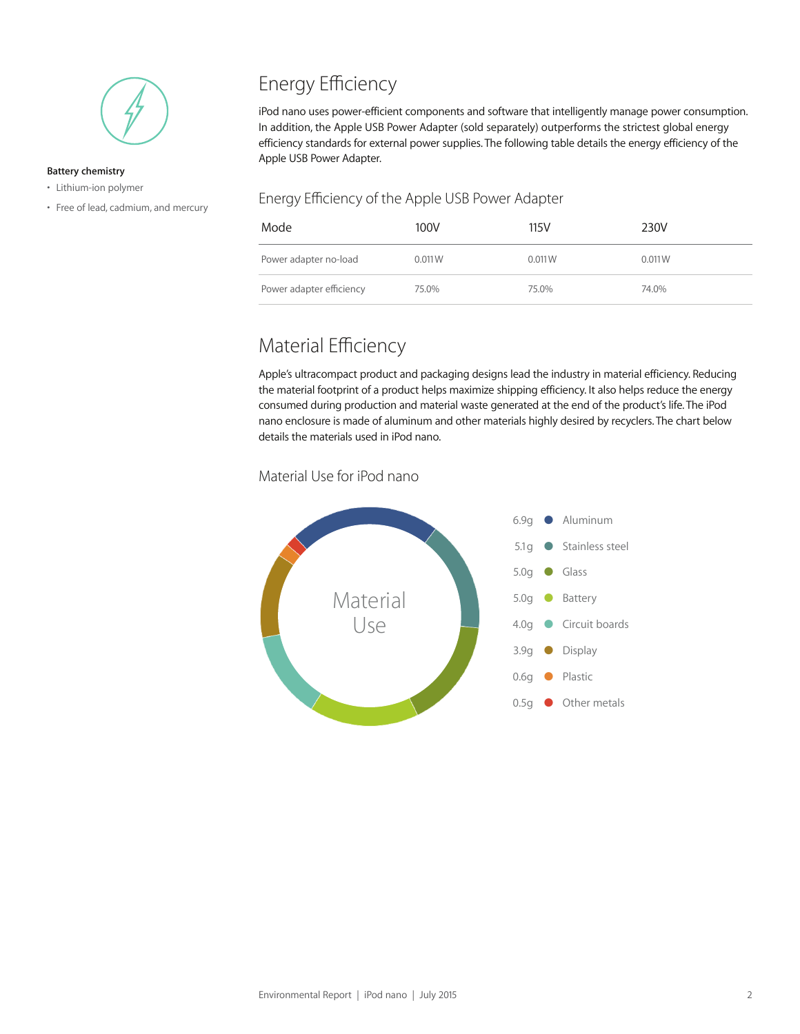

#### **Battery chemistry**

- Lithium-ion polymer
- Free of lead, cadmium, and mercury

## Energy Efficiency

iPod nano uses power-efficient components and software that intelligently manage power consumption. In addition, the Apple USB Power Adapter (sold separately) outperforms the strictest global energy efficiency standards for external power supplies. The following table details the energy efficiency of the Apple USB Power Adapter.

#### Energy Efficiency of the Apple USB Power Adapter

| Mode                     | 100V   | 115V   | 230V   |
|--------------------------|--------|--------|--------|
| Power adapter no-load    | 0.011W | 0.011W | 0.011W |
| Power adapter efficiency | 75.0%  | 75.0%  | 74.0%  |

### Material Efficiency

Apple's ultracompact product and packaging designs lead the industry in material efficiency. Reducing the material footprint of a product helps maximize shipping efficiency. It also helps reduce the energy consumed during production and material waste generated at the end of the product's life. The iPod nano enclosure is made of aluminum and other materials highly desired by recyclers. The chart below details the materials used in iPod nano.

#### Material Use for iPod nano

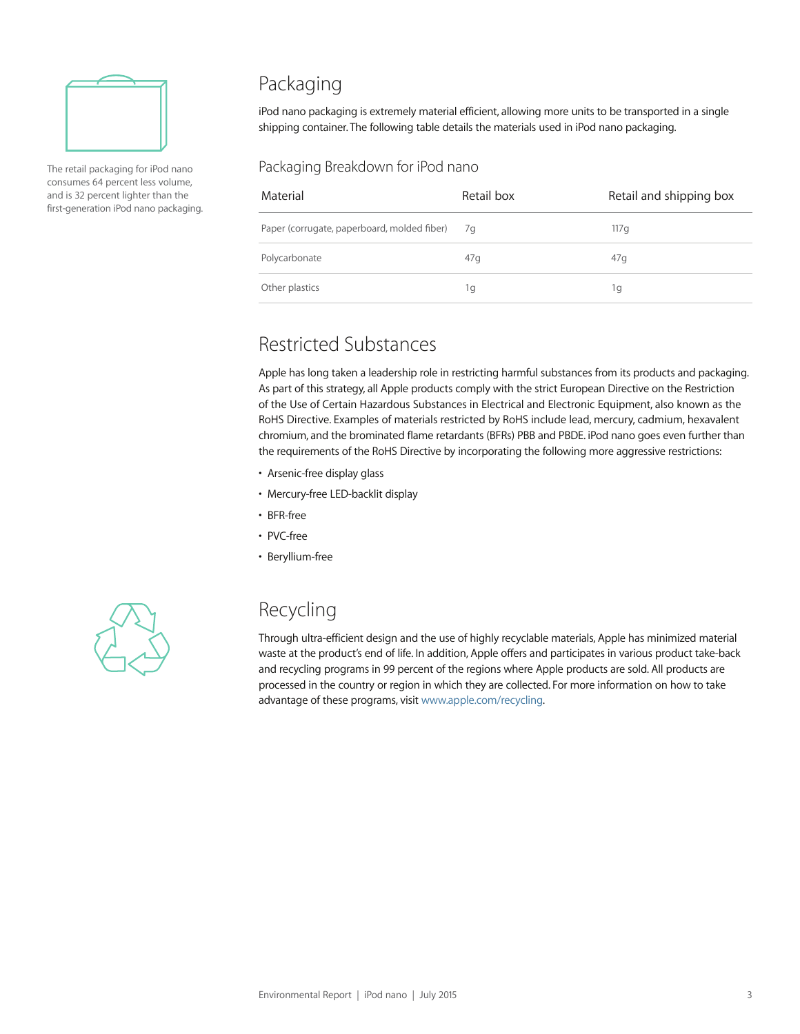

The retail packaging for iPod nano consumes 64 percent less volume, and is 32 percent lighter than the first-generation iPod nano packaging.

### Packaging

iPod nano packaging is extremely material efficient, allowing more units to be transported in a single shipping container. The following table details the materials used in iPod nano packaging.

#### Packaging Breakdown for iPod nano

| Material                                       | Retail box | Retail and shipping box |
|------------------------------------------------|------------|-------------------------|
| Paper (corrugate, paperboard, molded fiber) 7g |            | 117 g                   |
| Polycarbonate                                  | 47q        | 47q                     |
| Other plastics                                 | 1g         | 1q                      |

#### Restricted Substances

Apple has long taken a leadership role in restricting harmful substances from its products and packaging. As part of this strategy, all Apple products comply with the strict European Directive on the Restriction of the Use of Certain Hazardous Substances in Electrical and Electronic Equipment, also known as the RoHS Directive. Examples of materials restricted by RoHS include lead, mercury, cadmium, hexavalent chromium, and the brominated flame retardants (BFRs) PBB and PBDE. iPod nano goes even further than the requirements of the RoHS Directive by incorporating the following more aggressive restrictions:

- Arsenic-free display glass
- Mercury-free LED-backlit display
- BFR-free
- PVC-free
- Beryllium-free



#### Recycling

Through ultra-efficient design and the use of highly recyclable materials, Apple has minimized material waste at the product's end of life. In addition, Apple offers and participates in various product take-back and recycling programs in 99 percent of the regions where Apple products are sold. All products are processed in the country or region in which they are collected. For more information on how to take advantage of these programs, visit www.apple.com/recycling.